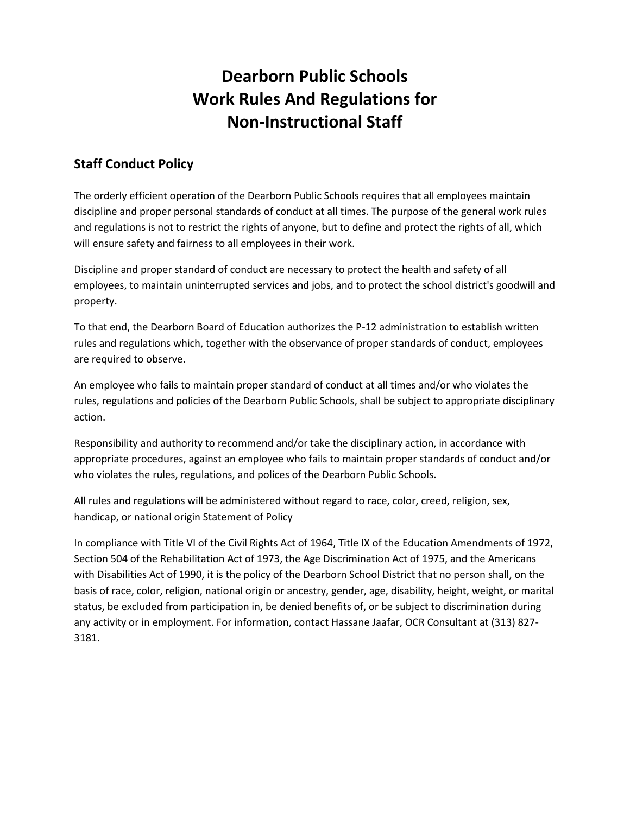# **Dearborn Public Schools Work Rules And Regulations for Non-Instructional Staff**

### **Staff Conduct Policy**

The orderly efficient operation of the Dearborn Public Schools requires that all employees maintain discipline and proper personal standards of conduct at all times. The purpose of the general work rules and regulations is not to restrict the rights of anyone, but to define and protect the rights of all, which will ensure safety and fairness to all employees in their work.

Discipline and proper standard of conduct are necessary to protect the health and safety of all employees, to maintain uninterrupted services and jobs, and to protect the school district's goodwill and property.

To that end, the Dearborn Board of Education authorizes the P-12 administration to establish written rules and regulations which, together with the observance of proper standards of conduct, employees are required to observe.

An employee who fails to maintain proper standard of conduct at all times and/or who violates the rules, regulations and policies of the Dearborn Public Schools, shall be subject to appropriate disciplinary action.

Responsibility and authority to recommend and/or take the disciplinary action, in accordance with appropriate procedures, against an employee who fails to maintain proper standards of conduct and/or who violates the rules, regulations, and polices of the Dearborn Public Schools.

All rules and regulations will be administered without regard to race, color, creed, religion, sex, handicap, or national origin Statement of Policy

In compliance with Title VI of the Civil Rights Act of 1964, Title IX of the Education Amendments of 1972, Section 504 of the Rehabilitation Act of 1973, the Age Discrimination Act of 1975, and the Americans with Disabilities Act of 1990, it is the policy of the Dearborn School District that no person shall, on the basis of race, color, religion, national origin or ancestry, gender, age, disability, height, weight, or marital status, be excluded from participation in, be denied benefits of, or be subject to discrimination during any activity or in employment. For information, contact Hassane Jaafar, OCR Consultant at (313) 827- 3181.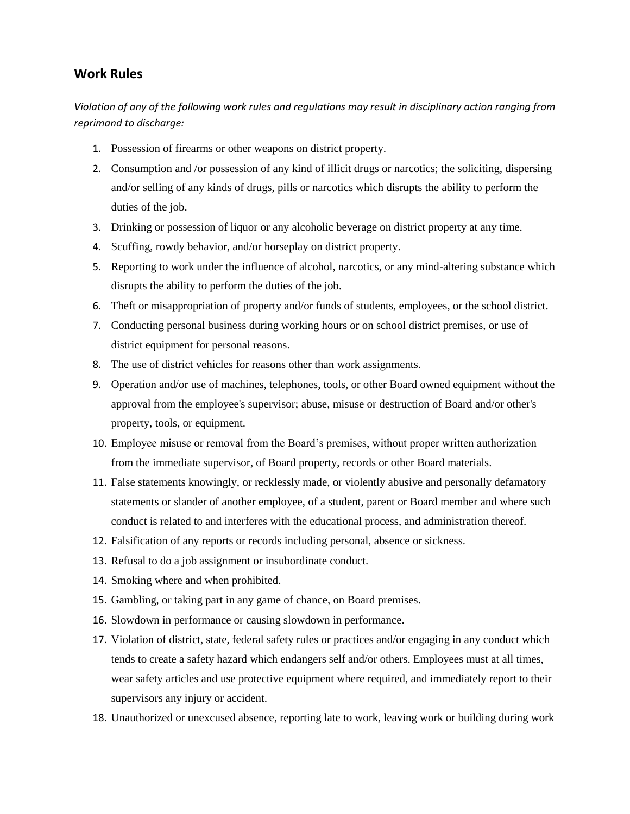#### **Work Rules**

*Violation of any of the following work rules and regulations may result in disciplinary action ranging from reprimand to discharge:*

- 1. Possession of firearms or other weapons on district property.
- 2. Consumption and /or possession of any kind of illicit drugs or narcotics; the soliciting, dispersing and/or selling of any kinds of drugs, pills or narcotics which disrupts the ability to perform the duties of the job.
- 3. Drinking or possession of liquor or any alcoholic beverage on district property at any time.
- 4. Scuffing, rowdy behavior, and/or horseplay on district property.
- 5. Reporting to work under the influence of alcohol, narcotics, or any mind-altering substance which disrupts the ability to perform the duties of the job.
- 6. Theft or misappropriation of property and/or funds of students, employees, or the school district.
- 7. Conducting personal business during working hours or on school district premises, or use of district equipment for personal reasons.
- 8. The use of district vehicles for reasons other than work assignments.
- 9. Operation and/or use of machines, telephones, tools, or other Board owned equipment without the approval from the employee's supervisor; abuse, misuse or destruction of Board and/or other's property, tools, or equipment.
- 10. Employee misuse or removal from the Board's premises, without proper written authorization from the immediate supervisor, of Board property, records or other Board materials.
- 11. False statements knowingly, or recklessly made, or violently abusive and personally defamatory statements or slander of another employee, of a student, parent or Board member and where such conduct is related to and interferes with the educational process, and administration thereof.
- 12. Falsification of any reports or records including personal, absence or sickness.
- 13. Refusal to do a job assignment or insubordinate conduct.
- 14. Smoking where and when prohibited.
- 15. Gambling, or taking part in any game of chance, on Board premises.
- 16. Slowdown in performance or causing slowdown in performance.
- 17. Violation of district, state, federal safety rules or practices and/or engaging in any conduct which tends to create a safety hazard which endangers self and/or others. Employees must at all times, wear safety articles and use protective equipment where required, and immediately report to their supervisors any injury or accident.
- 18. Unauthorized or unexcused absence, reporting late to work, leaving work or building during work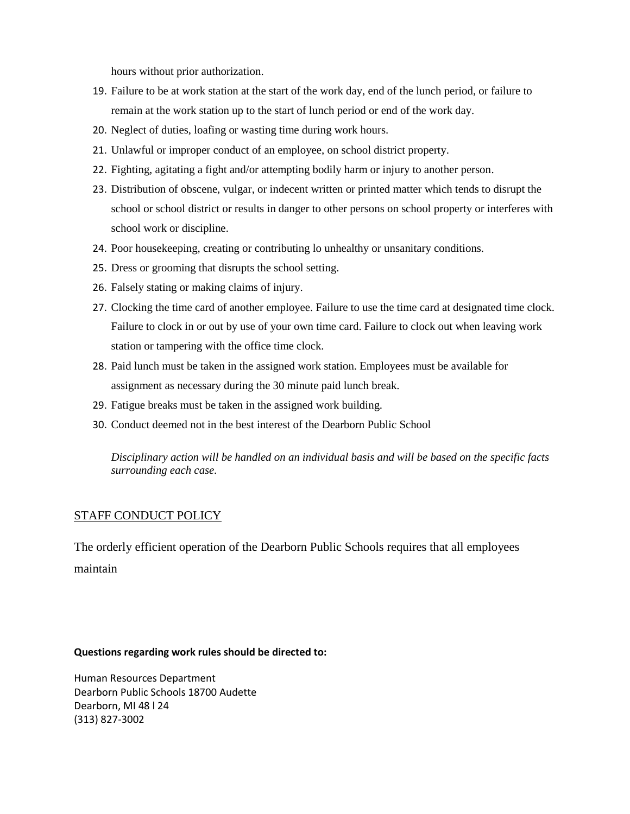hours without prior authorization.

- 19. Failure to be at work station at the start of the work day, end of the lunch period, or failure to remain at the work station up to the start of lunch period or end of the work day.
- 20. Neglect of duties, loafing or wasting time during work hours.
- 21. Unlawful or improper conduct of an employee, on school district property.
- 22. Fighting, agitating a fight and/or attempting bodily harm or injury to another person.
- 23. Distribution of obscene, vulgar, or indecent written or printed matter which tends to disrupt the school or school district or results in danger to other persons on school property or interferes with school work or discipline.
- 24. Poor housekeeping, creating or contributing lo unhealthy or unsanitary conditions.
- 25. Dress or grooming that disrupts the school setting.
- 26. Falsely stating or making claims of injury.
- 27. Clocking the time card of another employee. Failure to use the time card at designated time clock. Failure to clock in or out by use of your own time card. Failure to clock out when leaving work station or tampering with the office time clock.
- 28. Paid lunch must be taken in the assigned work station. Employees must be available for assignment as necessary during the 30 minute paid lunch break.
- 29. Fatigue breaks must be taken in the assigned work building.
- 30. Conduct deemed not in the best interest of the Dearborn Public School

*Disciplinary action will be handled on an individual basis and will be based on the specific facts surrounding each case.*

#### STAFF CONDUCT POLICY

The orderly efficient operation of the Dearborn Public Schools requires that all employees maintain

#### **Questions regarding work rules should be directed to:**

Human Resources Department Dearborn Public Schools 18700 Audette Dearborn, MI 48 l 24 (313) 827-3002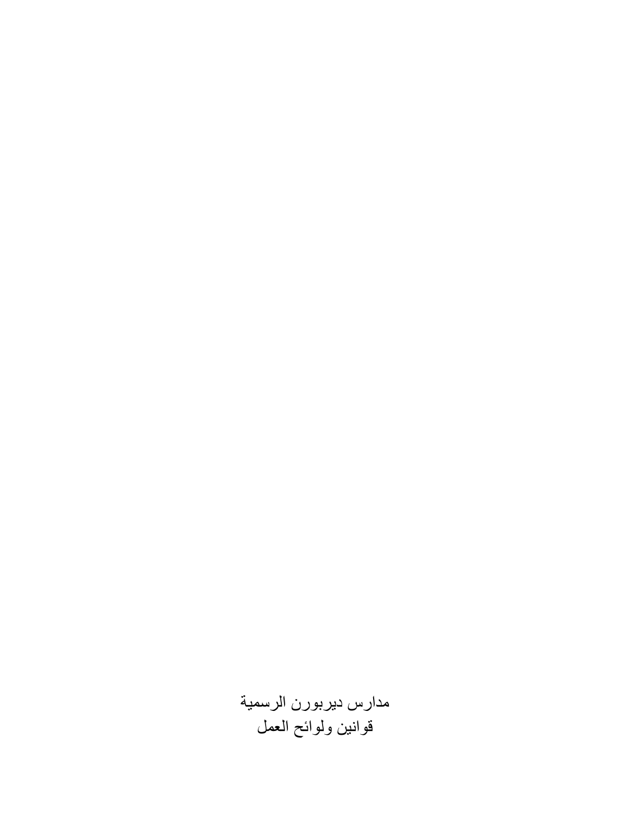مدارس ديربورن الرسمية قوانين ولوائح العمل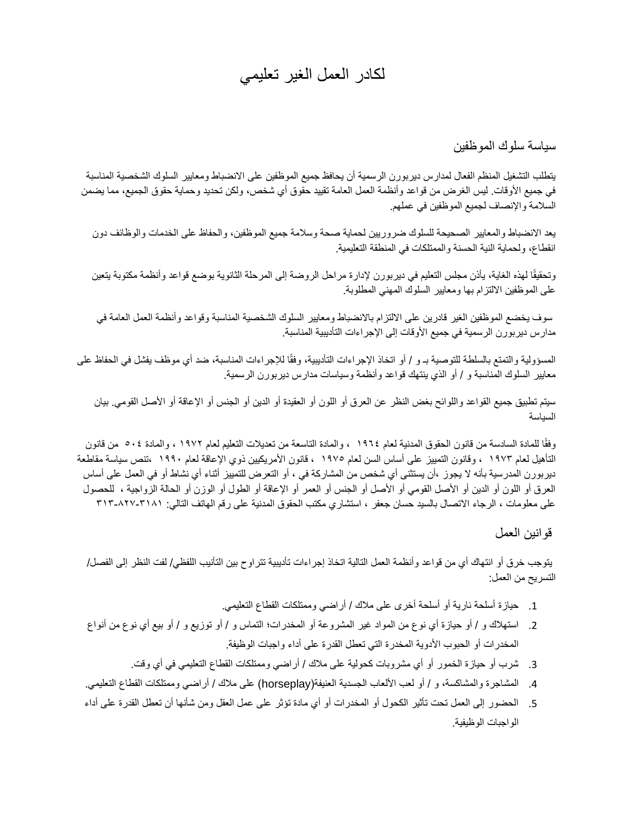## لكادر العمل الغير تعليمي

سياسة سلوك الموظفين

يتطلب التشغيل المنظم الفعال لمدارس ديربورن الرسمية أن يحافظ جميع الموظفين على االنضباط ومعايير السلوك الشخصية المناسبة في جميع األوقات. ليس الغرض من قواعد وأنظمة العمل العامة تقييد حقوق أي شخص، ولكن تحديد وحماية حقوق الجميع، مما يضمن السالمة واإلنصاف لجميع الموظفين في عملهم.

يعد االنضباط والمعايير الصحيحة للسلوك ضروريين لحماية صحة وسالمة جميع الموظفين، والحفاظ على الخدمات والوظائف دون انقطاع، ولحماية النية الحسنة والممتلكات في المنطقة التعليمية.

وتحقيقًا لهذه الغاية، يأذن مجلس التعليم في ديربورن لإدارة مراحل الروضة إلى المرحلة الثانوية بوضع قواعد وأنظمة مكتوبة يتعين على الموظفين االلتزام بها ومعايير السلوك المهني المطلوبة.

سوف يخضع الموظفين الغير قادرين على االلتزام باالنضباط ومعايير السلوك الشخصية المناسبة وقواعد وأنظمة العمل العامة في مدارس ديربورن الرسمية في جميع الأوقات إلى الإجراءات التأديبية المناسبة.

المسؤولية والتمتع بالسلطة للتوصية بـ و / أو اتخاذ الإجراءات التأديبية، وفقًا للإجراءات المناسبة، ضد أي موظف يفشل في الحفاظ على معايير السلوك المناسبة و / أو الذي ينتهك قواعد وأنظمة وسياسات مدارس ديربورن الرسمية.

سيتم تطبيق جميع القواعد واللوائح بغض النظر عن العرق أو اللون أو العقيدة أو الدين أو الجنس أو اإلعاقة أو األصل القومي. بيان السياسة

وفقًا للمادة السادسة من قانون الحقوق المدنية لعام ١٩٦٤ ، والمادة التاسعة من تعديلات التعليم لعام ١٩٧٢ ، والمادة ٥٠٤ من قانون التأهيل لعام ١٩٧٣ ، وقانون التمييز على أساس السن لعام ١٩٧٥ ، قانون األمريكيين ذوي اإلعاقة لعام ١٩٩٠ ،تنص سياسة مقاطعة ديربورن المدرسية بأنه ال يجوز ،أن يستثنى أي شخص من المشاركة في ، أو التعرض للتمييز أثناء أي نشاط أو في العمل على أساس العرق أو اللون أو الدين أو األصل القومي أو األصل أو الجنس أو العمر أو اإلعاقة أو الطول أو الوزن أو الحالة الزواجية ، للحصول على معلومات ، الرجاء االتصال بالسيد حسان جعفر ، استشاري مكتب الحقوق المدنية على رقم الهاتف التالي: ٣١٣-٨٢٧-٣١٨١

قوانين العمل

يتوجب خرق أو انتهاك أي من قواعد وأنظمة العمل التالية اتخاذ إجراءات تأديبية تتراوح بين التأنيب اللفظي/ لفت النظر إلى الفصل/ التسريح من العمل:

- .1 حيازة أسلحة نارية أو أسلحة أخرى على مالك / أراضي وممتلكات القطاع التعليمي.
- .2 استهالك و / أو حيازة أي نوع من المواد غير المشروعة أو المخدرات؛ التماس و / أو توزيع و / أو بيع أي نوع من أنواع المخدرات أو الحبوب الأدوية المخدرة التي تعطل القدرة على أداء واجبات الوظيفة.
	- .3 شرب أو حيازة الخمور أو أي مشروبات كحولية على مالك / أراضي وممتلكات القطاع التعليمي في أي وقت.
- .4 المشاجرة والمشاكسة، و / أو لعب األلعاب الجسدية العنيفة)horseplay )على مالك / أراضي وممتلكات القطاع التعليمي.
- .5 الحضور إلى العمل تحت تأثير الكحول أو المخدرات أو أي مادة تؤثر على عمل العقل ومن شأنها أن تعطل القدرة على أداء الواجبات الوظيفية.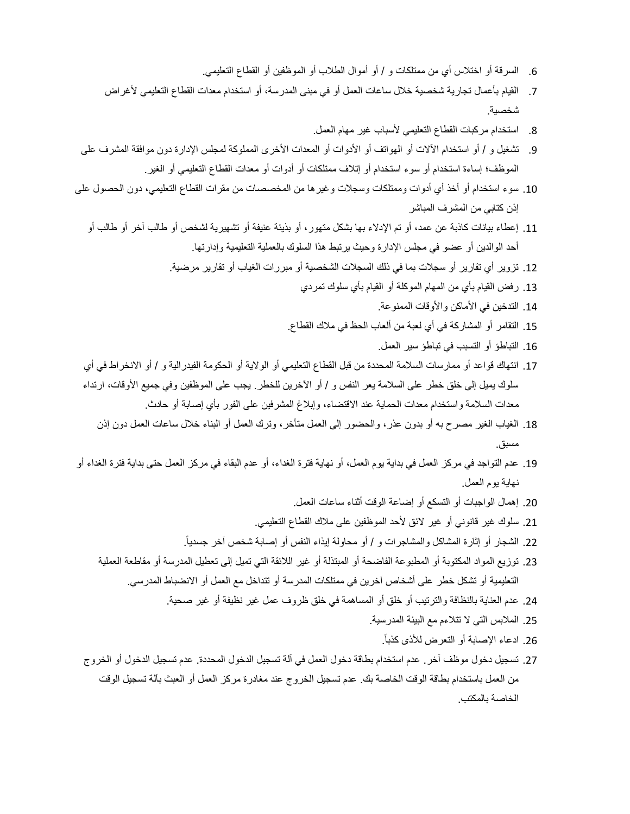- .6 السرقة أو اختالس أي من ممتلكات و / أو أموال الطالب أو الموظفين أو القطاع التعليمي.
- .7 القيام بأعمال تجارية شخصية خالل ساعات العمل أو في مبنى المدرسة، أو استخدام معدات القطاع التعليمي ألغراض شخصية.
	- 8. استخدام مركبات القطاع التعليمي لأسباب غير مهام العمل.
- 9. تشغيل و / أو استخدام الآلات أو الهواتف أو الأدوات أو المعدات الأخرى المملوكة لمجلس الإدارة دون موافقة المشرف على الموظف؛ إساءة استخدام أو سوء استخدام أو إتالف ممتلكات أو أدوات أو معدات القطاع التعليمي أو الغير.
- .10 سوء استخدام أو أخذ أي أدوات وممتلكات وسجالت وغيرها من المخصصات من مقرات القطاع التعليمي، دون الحصول على إذن كتابي من المشرف المباشر
	- .11 إعطاء بيانات كاذبة عن عمد، أو تم اإلدالء بها بشكل متهور، أو بذيئة عنيفة أو تشهيرية لشخص أو طالب آخر أو طالب أو أحد الوالدين أو عضو في مجلس اإلدارة وحيث يرتبط هذا السلوك بالعملية التعليمية وإدارتها.
		- .12 تزوير أي تقارير أو سجالت بما في ذلك السجالت الشخصية أو مبررات الغياب أو تقارير مرضية.
			- .13 رفض القيام بأي من المهام الموكلة أو القيام بأي سلوك تمردي
				- 14. التدخين في الأماكن والأوقات الممنوعة.
			- .15 التقامر أو المشاركة في أي لعبة من ألعاب الحظ في مالك القطاع.
				- .16 التباطؤ أو التسبب في تباطؤ سير العمل.
	- .17 انتهاك قواعد أو ممارسات السالمة المحددة من قبل القطاع التعليمي أو الوالية أو الحكومة الفيدرالية و / أو االنخراط في أي سلوك يميل إلى خلق خطر على السالمة يعر النفس و / أو اآلخرين للخطر. يجب على الموظفين وفي جميع األوقات، ارتداء معدات السالمة واستخدام معدات الحماية عند االقتضاء، وإبالغ المشرفين على الفور بأي إصابة أو حادث.
		- .18 الغياب الغير مصرح به أو بدون عذر، والحضور إلى العمل متأخر، وترك العمل أو البناء خالل ساعات العمل دون إذن مسبق.
- .19 عدم التواجد في مركز العمل في بداية يوم العمل، أو نهاية فترة الغداء، أو عدم البقاء في مركز العمل حتى بداية فترة الغداء أو نهاية يوم العمل.
	- .20 إهمال الواجبات أو التسكع أو إضاعة الوقت أثناء ساعات العمل.
	- 21. سلوك غير قانوني أو غير لائق لأحد الموظفين على ملاك القطاع التعليمي.
	- . .22 الشجار أو إثارة المشاكل والمشاجرات و / أو محاولة إيذاء النفس أو إصابة شخص آخر جسدياً
	- .23 توزيع المواد المكتوبة أو المطبوعة الفاضحة أو المبتذلة أو غير الالئقة التي تميل إلى تعطيل المدرسة أو مقاطعة العملية التعليمية أو تشكل خطر على أشخاص آخرين في ممتلكات المدرسة أو تتداخل مع العمل أو االنضباط المدرسي.
		- .24 عدم العناية بالنظافة والترتيب أو خلق أو المساهمة في خلق ظروف عمل غير نظيفة أو غير صحية.
			- 25. الملابس التي لا تتلاءم مع البيئة المدرسية.
				- . .26 ادعاء اإلصابة أو التعرض لألذى كذباً
	- .27 تسجيل دخول موظف آخر. عدم استخدام بطاقة دخول العمل في آلة تسجيل الدخول المحددة. عدم تسجيل الدخول أو الخروج من العمل باستخدام بطاقة الوقت الخاصة بك. عدم تسجيل الخروج عند مغادرة مركز العمل أو العبث بآلة تسجيل الوقت الخاصة بالمكتب.